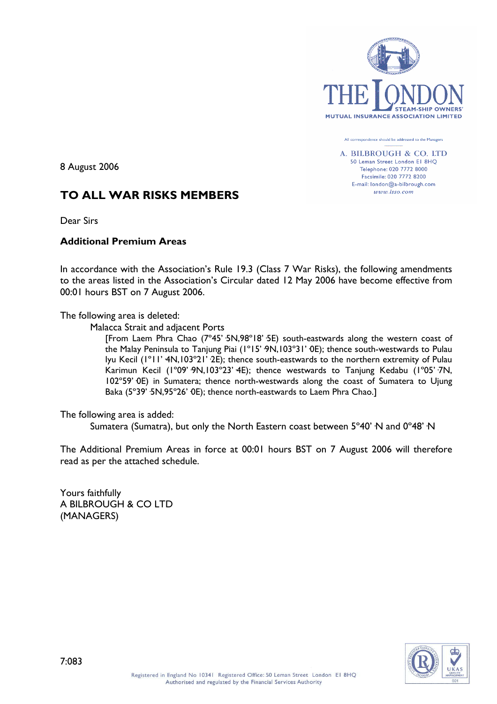

All correspondence should be addressed to the Managers

A. BILBROUGH & CO. LTD 50 Leman Street London El 8HQ Telephone: 020 7772 8000 Facsimile: 020 7772 8200 E-mail: london@a-bilbrough.com www.lsso.com

8 August 2006

# **TO ALL WAR RISKS MEMBERS**

Dear Sirs

## **Additional Premium Areas**

In accordance with the Association's Rule 19.3 (Class 7 War Risks), the following amendments to the areas listed in the Association's Circular dated 12 May 2006 have become effective from 00:01 hours BST on 7 August 2006.

The following area is deleted:

Malacca Strait and adjacent Ports

[From Laem Phra Chao (7º45'·5N,98º18'·5E) south-eastwards along the western coast of the Malay Peninsula to Tanjung Piai (1°15' 9N,103°31' 0E); thence south-westwards to Pulau Iyu Kecil (1°11' 4N,103°21' 2E); thence south-eastwards to the northern extremity of Pulau Karimun Kecil (1°09' 9N,103°23' 4E); thence westwards to Tanjung Kedabu (1°05' 7N, 102º59'·0E) in Sumatera; thence north-westwards along the coast of Sumatera to Ujung Baka (5°39' ·5N,95°26' OE); thence north-eastwards to Laem Phra Chao.]

The following area is added:

Sumatera (Sumatra), but only the North Eastern coast between 5°40' N and 0°48' N

The Additional Premium Areas in force at 00:01 hours BST on 7 August 2006 will therefore read as per the attached schedule.

Yours faithfully A BILBROUGH & CO LTD (MANAGERS)